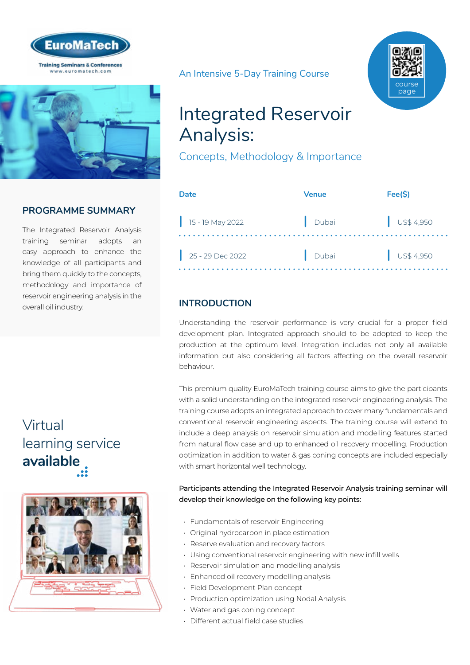



## **PROGRAMME SUMMARY**

The Integrated Reservoir Analysis training seminar adopts an easy approach to enhance the knowledge of all participants and bring them quickly to the concepts, methodology and importance of reservoir engineering analysis in the overall oil industry.

## Virtual [learning service](https://www.euromatech.com/seminars/integrated-reservoir-engineering-analysis/)  **available**



An Intensive 5-Day Training Course



## Integrated Reservoir Analysis:

Concepts, Methodology & Importance

| Date               | Venue | Fee(S)                   |
|--------------------|-------|--------------------------|
| $15 - 19$ May 2022 | Dubai | $\bigcup$ US\$ 4,950     |
| $25 - 29$ Dec 2022 | Dubai | $\frac{1}{2}$ US\$ 4,950 |

## **INTRODUCTION**

Understanding the reservoir performance is very crucial for a proper field development plan. Integrated approach should to be adopted to keep the production at the optimum level. Integration includes not only all available information but also considering all factors affecting on the overall reservoir behaviour.

This premium quality EuroMaTech training course aims to give the participants with a solid understanding on the integrated reservoir engineering analysis. The training course adopts an integrated approach to cover many fundamentals and conventional reservoir engineering aspects. The training course will extend to include a deep analysis on reservoir simulation and modelling features started from natural flow case and up to enhanced oil recovery modelling. Production optimization in addition to water & gas coning concepts are included especially with smart horizontal well technology.

Participants attending the Integrated Reservoir Analysis training seminar will develop their knowledge on the following key points:

- Fundamentals of reservoir Engineering
- Original hydrocarbon in place estimation
- Reserve evaluation and recovery factors
- Using conventional reservoir engineering with new infill wells
- Reservoir simulation and modelling analysis
- Enhanced oil recovery modelling analysis
- Field Development Plan concept
- Production optimization using Nodal Analysis
- Water and gas coning concept
- Different actual field case studies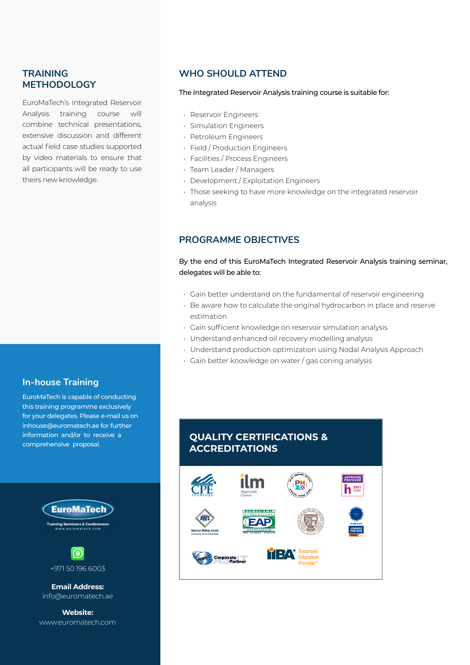### **TRAINING METHODOLOGY**

EuroMaTech's Integrated Reservoir Analysis training course will combine technical presentations, extensive discussion and different actual field case studies supported by video materials to ensure that all participants will be ready to use theirs new knowledge.

#### **In-house Training**

EuroMaTech is capable of conducting this training programme exclusively for your delegates. Please e-mail us on inhouse@euromatech.ae for further information and/or to receive a comprehensive proposal.





**Email Address:** info@euromatech.ae

**Website:** www.euromatech.com

#### **WHO SHOULD ATTEND**

#### The Integrated Reservoir Analysis training course is suitable for:

- Reservoir Engineers
- Simulation Engineers
- Petroleum Engineers
- Field / Production Engineers
- Facilities / Process Engineers
- Team Leader / Managers
- Development / Exploitation Engineers
- Those seeking to have more knowledge on the integrated reservoir analysis

#### **PROGRAMME OBJECTIVES**

#### By the end of this EuroMaTech Integrated Reservoir Analysis training seminar, delegates will be able to:

- Gain better understand on the fundamental of reservoir engineering
- Be aware how to calculate the original hydrocarbon in place and reserve estimation
- Gain sufficient knowledge on reservoir simulation analysis
- Understand enhanced oil recovery modelling analysis
- Understand production optimization using Nodal Analysis Approach
- Gain better knowledge on water / gas coning analysis

## **QUALITY CERTIFICATIONS & ACCREDITATIONS**

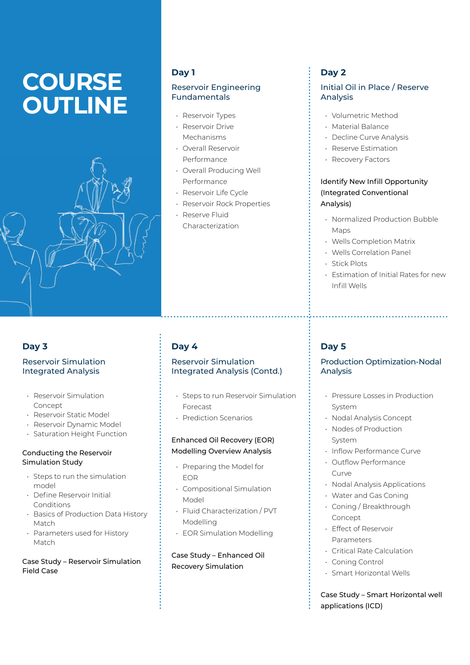# **COURSE OUTLINE**



### **Day 1**

#### Reservoir Engineering Fundamentals

- Reservoir Types
- Reservoir Drive Mechanisms
- Overall Reservoir Performance
- Overall Producing Well Performance
- Reservoir Life Cycle
- Reservoir Rock Properties
- Reserve Fluid Characterization

## **Day 3**

#### Reservoir Simulation Integrated Analysis

- Reservoir Simulation Concept
- Reservoir Static Model
- Reservoir Dynamic Model
- Saturation Height Function

#### Conducting the Reservoir Simulation Study

- Steps to run the simulation model
- Define Reservoir Initial Conditions
- Basics of Production Data History Match
- Parameters used for History Match

#### Case Study – Reservoir Simulation Field Case

## **Day 4**

#### Reservoir Simulation Integrated Analysis (Contd.)

- Steps to run Reservoir Simulation Forecast
- Prediction Scenarios

#### Enhanced Oil Recovery (EOR) Modelling Overview Analysis

- Preparing the Model for EOR
- Compositional Simulation Model
- Fluid Characterization / PVT Modelling
- EOR Simulation Modelling

Case Study – Enhanced Oil Recovery Simulation

## **Day 2**

#### Initial Oil in Place / Reserve Analysis

- Volumetric Method
- Material Balance
- Decline Curve Analysis
- Reserve Estimation
- Recovery Factors

### Identify New Infill Opportunity (Integrated Conventional Analysis)

- Normalized Production Bubble Maps
- Wells Completion Matrix
- Wells Correlation Panel
- Stick Plots
- Estimation of Initial Rates for new Infill Wells

### **Day 5**

#### Production Optimization-Nodal Analysis

- Pressure Losses in Production System
- Nodal Analysis Concept
- Nodes of Production System
- Inflow Performance Curve
- Outflow Performance Curve
- Nodal Analysis Applications
- Water and Gas Coning
- Coning / Breakthrough Concept
- Effect of Reservoir Parameters
- Critical Rate Calculation
- Coning Control
- Smart Horizontal Wells

Case Study – Smart Horizontal well applications (ICD)